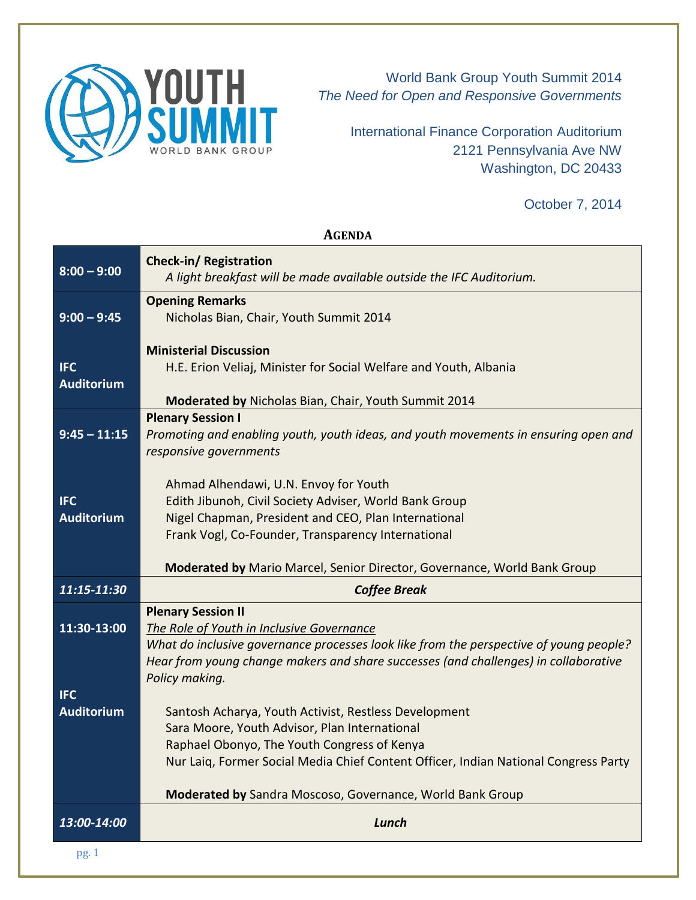

World Bank Group Youth Summit 2014 *The Need for Open and Responsive Governments*

> International Finance Corporation Auditorium 2121 Pennsylvania Ave NW Washington, DC 20433

> > October 7, 2014

## **AGENDA**

| $8:00 - 9:00$                   | Check-in/Registration<br>A light breakfast will be made available outside the IFC Auditorium.                                                                                                                                                                                             |
|---------------------------------|-------------------------------------------------------------------------------------------------------------------------------------------------------------------------------------------------------------------------------------------------------------------------------------------|
| $9:00 - 9:45$                   | <b>Opening Remarks</b><br>Nicholas Bian, Chair, Youth Summit 2014                                                                                                                                                                                                                         |
| <b>IFC</b><br><b>Auditorium</b> | <b>Ministerial Discussion</b><br>H.E. Erion Veliaj, Minister for Social Welfare and Youth, Albania<br>Moderated by Nicholas Bian, Chair, Youth Summit 2014                                                                                                                                |
| $9:45 - 11:15$                  | <b>Plenary Session I</b><br>Promoting and enabling youth, youth ideas, and youth movements in ensuring open and<br>responsive governments                                                                                                                                                 |
| <b>IFC</b><br><b>Auditorium</b> | Ahmad Alhendawi, U.N. Envoy for Youth<br>Edith Jibunoh, Civil Society Adviser, World Bank Group<br>Nigel Chapman, President and CEO, Plan International<br>Frank Vogl, Co-Founder, Transparency International<br>Moderated by Mario Marcel, Senior Director, Governance, World Bank Group |
| 11:15-11:30                     | <b>Coffee Break</b>                                                                                                                                                                                                                                                                       |
| 11:30-13:00                     | <b>Plenary Session II</b><br>The Role of Youth in Inclusive Governance<br>What do inclusive governance processes look like from the perspective of young people?<br>Hear from young change makers and share successes (and challenges) in collaborative<br>Policy making.                 |
| <b>IFC</b><br><b>Auditorium</b> | Santosh Acharya, Youth Activist, Restless Development<br>Sara Moore, Youth Advisor, Plan International<br>Raphael Obonyo, The Youth Congress of Kenya<br>Nur Laiq, Former Social Media Chief Content Officer, Indian National Congress Party                                              |
| 13:00-14:00                     | Moderated by Sandra Moscoso, Governance, World Bank Group<br>Lunch                                                                                                                                                                                                                        |